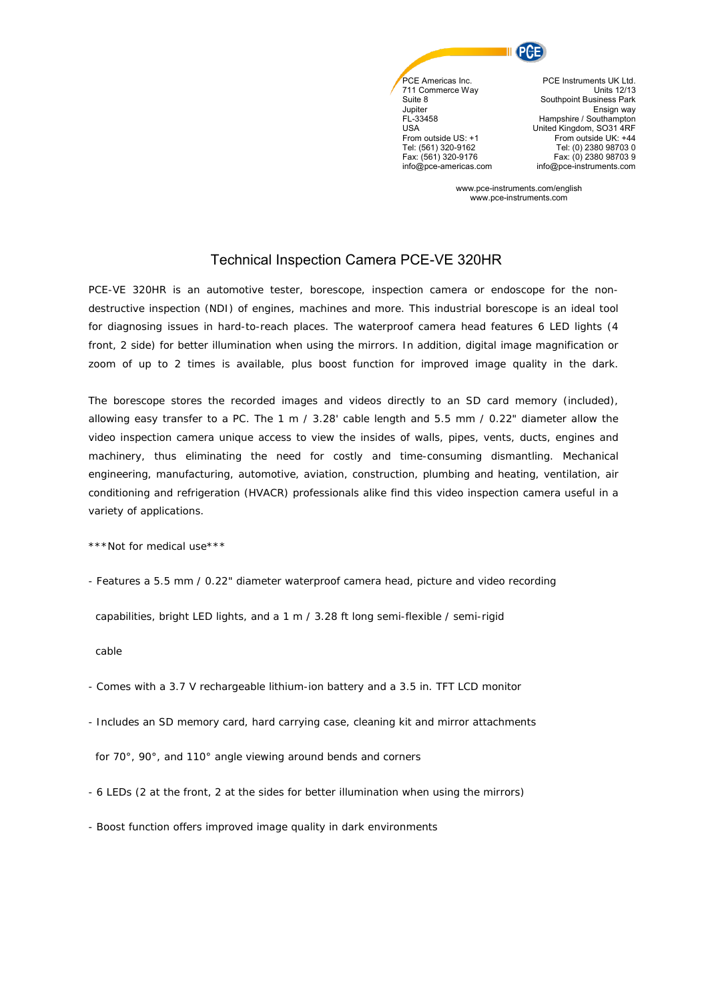

Tel: (561) 320-9162 Fax: (561) 320-9176 info@pce-americas.com

PCE Instruments UK Ltd. Units 12/13 Southpoint Business Park Ensign way Hampshire / Southampton United Kingdom, SO31 4RF From outside UK: +44 Tel: (0) 2380 98703 0 Fax: (0) 2380 98703 9 info@pce-instruments.com

www.pce-instruments.com/english www.pce-instruments.com

## Technical Inspection Camera PCE-VE 320HR

PCE-VE 320HR is an automotive tester, borescope, inspection camera or endoscope for the nondestructive inspection (NDI) of engines, machines and more. This industrial borescope is an ideal tool for diagnosing issues in hard-to-reach places. The waterproof camera head features 6 LED lights (4 front, 2 side) for better illumination when using the mirrors. In addition, digital image magnification or zoom of up to 2 times is available, plus boost function for improved image quality in the dark.

The borescope stores the recorded images and videos directly to an SD card memory (included), allowing easy transfer to a PC. The 1 m / 3.28' cable length and 5.5 mm / 0.22" diameter allow the video inspection camera unique access to view the insides of walls, pipes, vents, ducts, engines and machinery, thus eliminating the need for costly and time-consuming dismantling. Mechanical engineering, manufacturing, automotive, aviation, construction, plumbing and heating, ventilation, air conditioning and refrigeration (HVACR) professionals alike find this video inspection camera useful in a variety of applications.

\*\*\*Not for medical use\*\*\*

- Features a 5.5 mm / 0.22" diameter waterproof camera head, picture and video recording

capabilities, bright LED lights, and a 1 m / 3.28 ft long semi-flexible / semi-rigid

cable

- Comes with a 3.7 V rechargeable lithium-ion battery and a 3.5 in. TFT LCD monitor
- Includes an SD memory card, hard carrying case, cleaning kit and mirror attachments

for 70°, 90°, and 110° angle viewing around bends and corners

- 6 LEDs (2 at the front, 2 at the sides for better illumination when using the mirrors)
- Boost function offers improved image quality in dark environments